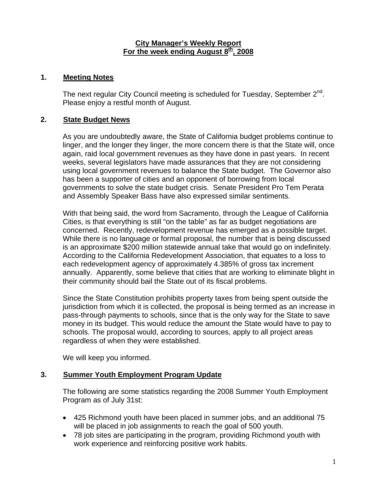#### **City Manager's Weekly Report** For the week ending August 8<sup>th</sup>, 2008

#### **1. Meeting Notes**

The next regular City Council meeting is scheduled for Tuesday, September  $2^{nd}$ . Please enjoy a restful month of August.

### **2. State Budget News**

As you are undoubtedly aware, the State of California budget problems continue to linger, and the longer they linger, the more concern there is that the State will, once again, raid local government revenues as they have done in past years. In recent weeks, several legislators have made assurances that they are not considering using local government revenues to balance the State budget. The Governor also has been a supporter of cities and an opponent of borrowing from local governments to solve the state budget crisis. Senate President Pro Tem Perata and Assembly Speaker Bass have also expressed similar sentiments.

With that being said, the word from Sacramento, through the League of California Cities, is that everything is still "on the table" as far as budget negotiations are concerned. Recently, redevelopment revenue has emerged as a possible target. While there is no language or formal proposal, the number that is being discussed is an approximate \$200 million statewide annual take that would go on indefinitely. According to the California Redevelopment Association, that equates to a loss to each redevelopment agency of approximately 4.385% of gross tax increment annually. Apparently, some believe that cities that are working to eliminate blight in their community should bail the State out of its fiscal problems.

Since the State Constitution prohibits property taxes from being spent outside the jurisdiction from which it is collected, the proposal is being termed as an increase in pass-through payments to schools, since that is the only way for the State to save money in its budget. This would reduce the amount the State would have to pay to schools. The proposal would, according to sources, apply to all project areas regardless of when they were established.

We will keep you informed.

### **3. Summer Youth Employment Program Update**

The following are some statistics regarding the 2008 Summer Youth Employment Program as of July 31st:

- 425 Richmond youth have been placed in summer jobs, and an additional 75 will be placed in job assignments to reach the goal of 500 youth.
- 78 job sites are participating in the program, providing Richmond youth with work experience and reinforcing positive work habits.